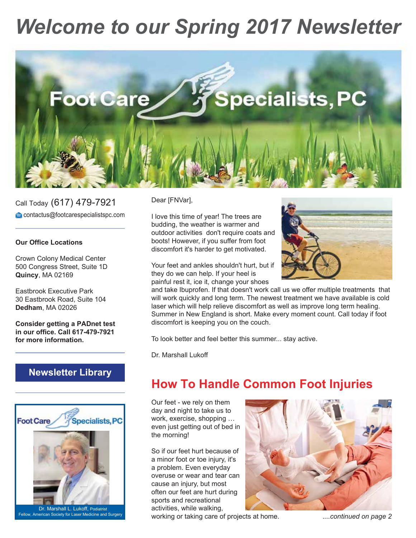# *Welcome to our Spring 2017 Newsletter*



Call Today (617) 479-7921 contactus@footcarespecialistspc.com

#### **Our Office Locations**

Crown Colony Medical Center 500 Congress Street, Suite 1D **Quincy**, MA 02169

Eastbrook Executive Park 30 Eastbrook Road, Suite 104 **Dedham**, MA 02026

**Consider getting a PADnet test in our office. Call 617-479-7921 for more information.**

### **Newsletter Library**



Fellow, American Society for Laser Medicine and Surger

Dear [FNVar],

I love this time of year! The trees are budding, the weather is warmer and outdoor activities don't require coats and boots! However, if you suffer from foot discomfort it's harder to get motivated.

Your feet and ankles shouldn't hurt, but if they do we can help. If your heel is painful rest it, ice it, change your shoes



and take Ibuprofen. If that doesn't work call us we offer multiple treatments that will work quickly and long term. The newest treatment we have available is cold laser which will help relieve discomfort as well as improve long term healing. Summer in New England is short. Make every moment count. Call today if foot discomfort is keeping you on the couch.

To look better and feel better this summer... stay active.

Dr. Marshall Lukoff

# **How To Handle Common Foot Injuries**

Our feet - we rely on them day and night to take us to work, exercise, shopping … even just getting out of bed in the morning!

So if our feet hurt because of a minor foot or toe injury, it's a problem. Even everyday overuse or wear and tear can cause an injury, but most often our feet are hurt during sports and recreational activities, while walking,



working or taking care of projects at home. .*...continued on page 2*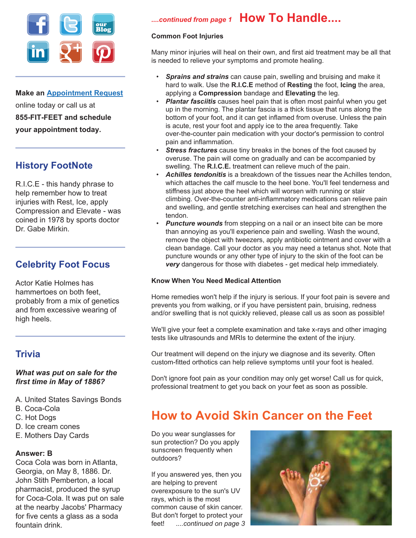

**Make an Appointment Request** online today or call us at **855-FIT-FEET and schedule your appointment today.**

### **History FootNote**

R.I.C.E - this handy phrase to help remember how to treat injuries with Rest, Ice, apply Compression and Elevate - was coined in 1978 by sports doctor Dr. Gabe Mirkin.

### **Celebrity Foot Focus**

Actor Katie Holmes has hammertoes on both feet, probably from a mix of genetics and from excessive wearing of high heels.

### **Trivia**

### *What was put on sale for the first time in May of 1886?*

- A. United States Savings Bonds
- B. Coca-Cola
- C. Hot Dogs
- D. Ice cream cones
- E. Mothers Day Cards

#### **Answer: B**

Coca Cola was born in Atlanta, Georgia, on May 8, 1886. Dr. John Stith Pemberton, a local pharmacist, produced the syrup for Coca-Cola. It was put on sale at the nearby Jacobs' Pharmacy for five cents a glass as a soda fountain drink.

## *....continued from page 1* **How To Handle....**

### **Common Foot Injuries**

Many minor injuries will heal on their own, and first aid treatment may be all that is needed to relieve your symptoms and promote healing.

- *Sprains and strains* can cause pain, swelling and bruising and make it hard to walk. Use the **R.I.C.E** method of **Resting** the foot, **Icing** the area, applying a **Compression** bandage and **Elevating** the leg.
- *Plantar fasciitis* causes heel pain that is often most painful when you get up in the morning. The plantar fascia is a thick tissue that runs along the bottom of your foot, and it can get inflamed from overuse. Unless the pain is acute, rest your foot and apply ice to the area frequently. Take over-the-counter pain medication with your doctor's permission to control pain and inflammation.
- *Stress fractures* cause tiny breaks in the bones of the foot caused by overuse. The pain will come on gradually and can be accompanied by swelling. The **R.I.C.E.** treatment can relieve much of the pain.
- *Achilles tendonitis* is a breakdown of the tissues near the Achilles tendon, which attaches the calf muscle to the heel bone. You'll feel tenderness and stiffness just above the heel which will worsen with running or stair climbing. Over-the-counter anti-inflammatory medications can relieve pain and swelling, and gentle stretching exercises can heal and strengthen the tendon.
- *Puncture wounds* from stepping on a nail or an insect bite can be more than annoying as you'll experience pain and swelling. Wash the wound, remove the object with tweezers, apply antibiotic ointment and cover with a clean bandage. Call your doctor as you may need a tetanus shot. Note that puncture wounds or any other type of injury to the skin of the foot can be *very* dangerous for those with diabetes - get medical help immediately.

#### **Know When You Need Medical Attention**

Home remedies won't help if the injury is serious. If your foot pain is severe and prevents you from walking, or if you have persistent pain, bruising, redness and/or swelling that is not quickly relieved, please call us as soon as possible!

We'll give your feet a complete examination and take x-rays and other imaging tests like ultrasounds and MRIs to determine the extent of the injury.

Our treatment will depend on the injury we diagnose and its severity. Often custom-fitted orthotics can help relieve symptoms until your foot is healed.

Don't ignore foot pain as your condition may only get worse! Call us for quick, professional treatment to get you back on your feet as soon as possible.

# **How to Avoid Skin Cancer on the Feet**

Do you wear sunglasses for sun protection? Do you apply sunscreen frequently when outdoors?

If you answered yes, then you are helping to prevent overexposure to the sun's UV rays, which is the most common cause of skin cancer. But don't forget to protect your feet! .*...continued on page 3*

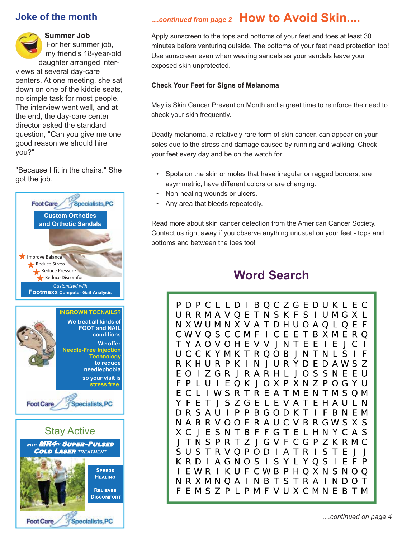### **Joke of the month**

**Summer Job** For her summer job, my friend's 18-year-old daughter arranged interviews at several day-care centers. At one meeting, she sat down on one of the kiddie seats, no simple task for most people. The interview went well, and at the end, the day-care center director asked the standard question, "Can you give me one good reason we should hire you?"

"Because I fit in the chairs." She got the job.



**Specialists, PC** 

**Foot Care** 

*....continued from page 2* **How to Avoid Skin....**

Apply sunscreen to the tops and bottoms of your feet and toes at least 30 minutes before venturing outside. The bottoms of your feet need protection too! Use sunscreen even when wearing sandals as your sandals leave your exposed skin unprotected.

#### **Check Your Feet for Signs of Melanoma**

May is Skin Cancer Prevention Month and a great time to reinforce the need to check your skin frequently.

Deadly melanoma, a relatively rare form of skin cancer, can appear on your soles due to the stress and damage caused by running and walking. Check your feet every day and be on the watch for:

- Spots on the skin or moles that have irregular or ragged borders, are asymmetric, have different colors or are changing.
- Non-healing wounds or ulcers.
- Any area that bleeds repeatedly.

Read more about skin cancer detection from the American Cancer Society. Contact us right away if you observe anything unusual on your feet - tops and bottoms and between the toes too!

# **Word Search**

P D P C L L D I B Q C Z G E D U K L E C URRMAVOETNSKFSIUMGXL N X W U M N X V A T D H U O A Q L Q E F CWVQSCCMFICEETBXMERQ TYAOVOHEVV J N T E E I E J C I U C C K Y M K T R Q O B J N T N L S I F R K H U R P K I N J U R Y D E D A W S Z E O I Z G R J R A R H L J O S S N E E U F P L U I E Q K I O X P X N Z P O G Y U ECLIWSRTREATMENTMSQM Y F E T I S Z G E L E V A T E H A U L N DRSAUIPPBGODKTIFBNEM N A B R V O O F R A U C V B R G W S X S X C I E S N T B F F G T E L H N Y C A S I T N S P R T Z I G V F C G P Z K R M C S U S T R V Q P O D I A T R I S T E J J K R D I A G N O S I S Y L Y Q S I E F P I EWR I KUFCWBPHQXNSNOQ NRXMNQAINBTSTRAINDOT **F E M S Z P L P M F V U X C M N E B T M**